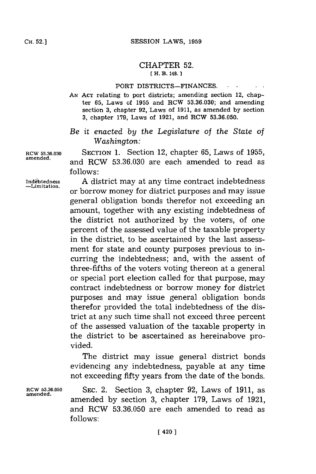## CHAPTER **52. [ H. B. 148.]**

## PORT DISTRICTS-FINANCES.

**AN ACT** relating to port districts; amending section 12, chapter **65,** Laws of **1955** and RCW **53.36.030;** and amending section **3,** chapter **92,** Laws of **1911,** as amended **by** section **3,** chapter **179,** Laws of **1921,** and RCW **53.36.050.**

## *Be it enacted by the Legislature of the State of Washington:*

**RCW 53.36.030 SECTION 1.** Section 12, chapter **65,** Laws of **1955, amended,** and RCW **53.36.030** are each amended to read as **follows:**

Indebtedness **A** district may at any time contract indebtedness or borrow money for district purposes and may issue general obligation bonds therefor not exceeding an amount, together with any existing indebtedness of the district not authorized **by** the voters, of one percent of the assessed value of the taxable property in the district, to be ascertained **by** the last assessment for state and county purposes previous to incurring the indebtedness; and, with the assent of three-fifths of the voters voting thereon at a general or special port election called for that purpose, may contract indebtedness or borrow money for district purposes and may issue general obligation bonds therefor provided the total indebtedness of the district at any such time shall not exceed three percent of the assessed valuation of the taxable property in the district to be ascertained as hereinabove provided.

> The district may issue general district bonds evidencing any indebtedness, payable at any time not exceeding fifty years from the date of the bonds.

**RCW 53.36.050** SEC. 2. Section **3,** chapter **92,** Laws of **1911,** as **amended.** amended **by** section **3,** chapter **179,** Laws of **1921,** and RCW **53.36.050** are each amended to read as **follows:**

**-Limitation.**